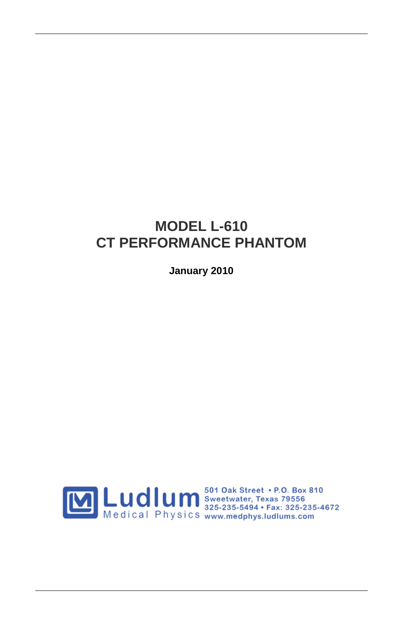### **MODEL L-610 CT PERFORMANCE PHANTOM**

**January 2010**

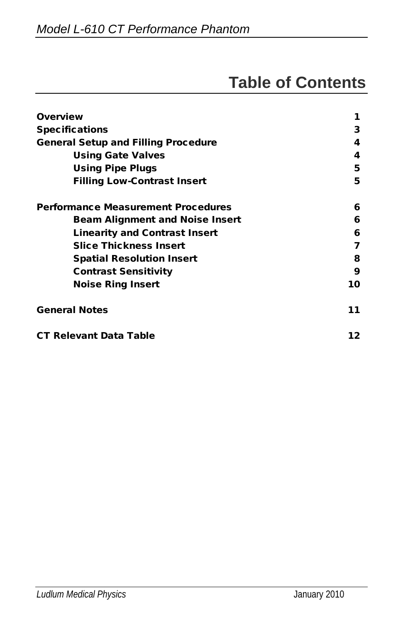# **Table of Contents**

| <b>Overview</b>                            | 1  |
|--------------------------------------------|----|
| <b>Specifications</b>                      | 3  |
| <b>General Setup and Filling Procedure</b> | 4  |
| <b>Using Gate Valves</b>                   | 4  |
| <b>Using Pipe Plugs</b>                    | 5  |
| <b>Filling Low-Contrast Insert</b>         | 5  |
| <b>Performance Measurement Procedures</b>  | 6  |
| <b>Beam Alignment and Noise Insert</b>     | 6  |
| <b>Linearity and Contrast Insert</b>       | 6  |
| <b>Slice Thickness Insert</b>              | 7  |
| <b>Spatial Resolution Insert</b>           | 8  |
| <b>Contrast Sensitivity</b>                | 9  |
| <b>Noise Ring Insert</b>                   | 10 |
| <b>General Notes</b>                       | 11 |
| <b>CT Relevant Data Table</b>              | 12 |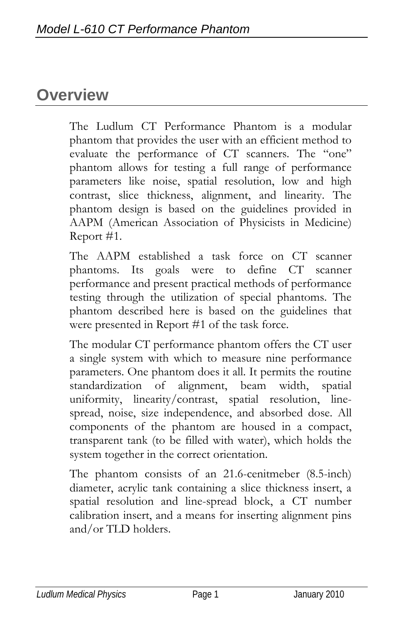## **Overview**

The Ludlum CT Performance Phantom is a modular phantom that provides the user with an efficient method to evaluate the performance of CT scanners. The "one" phantom allows for testing a full range of performance parameters like noise, spatial resolution, low and high contrast, slice thickness, alignment, and linearity. The phantom design is based on the guidelines provided in AAPM (American Association of Physicists in Medicine) Report #1.

The AAPM established a task force on CT scanner phantoms. Its goals were to define CT scanner performance and present practical methods of performance testing through the utilization of special phantoms. The phantom described here is based on the guidelines that were presented in Report #1 of the task force.

The modular CT performance phantom offers the CT user a single system with which to measure nine performance parameters. One phantom does it all. It permits the routine standardization of alignment, beam width, spatial uniformity, linearity/contrast, spatial resolution, linespread, noise, size independence, and absorbed dose. All components of the phantom are housed in a compact, transparent tank (to be filled with water), which holds the system together in the correct orientation.

The phantom consists of an 21.6-cenitmeber (8.5-inch) diameter, acrylic tank containing a slice thickness insert, a spatial resolution and line-spread block, a CT number calibration insert, and a means for inserting alignment pins and/or TLD holders.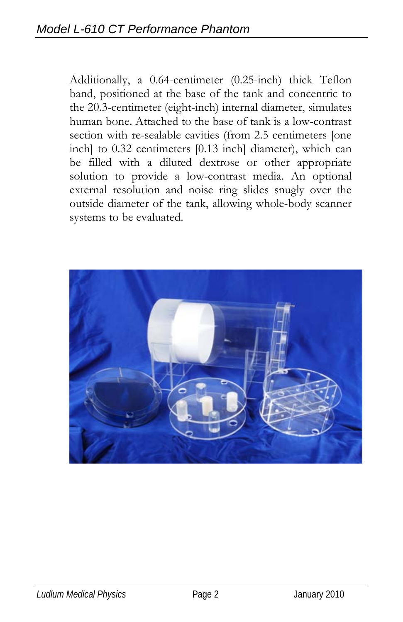Additionally, a 0.64-centimeter (0.25-inch) thick Teflon band, positioned at the base of the tank and concentric to the 20.3-centimeter (eight-inch) internal diameter, simulates human bone. Attached to the base of tank is a low-contrast section with re-sealable cavities (from 2.5 centimeters [one inch] to 0.32 centimeters [0.13 inch] diameter), which can be filled with a diluted dextrose or other appropriate solution to provide a low-contrast media. An optional external resolution and noise ring slides snugly over the outside diameter of the tank, allowing whole-body scanner systems to be evaluated.

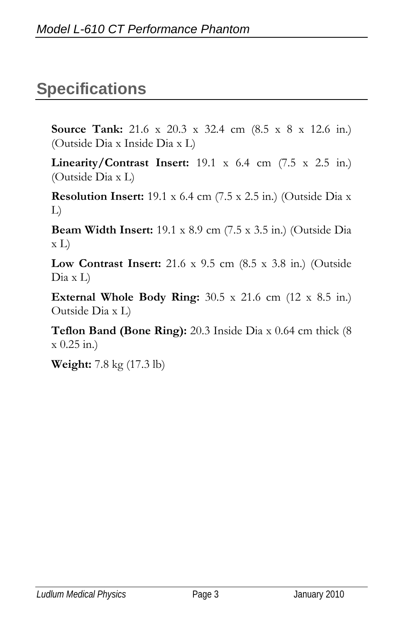## **Specifications**

**Source Tank:** 21.6 x 20.3 x 32.4 cm (8.5 x 8 x 12.6 in.) (Outside Dia x Inside Dia x L)

**Linearity/Contrast Insert:** 19.1 x 6.4 cm (7.5 x 2.5 in.) (Outside Dia x L)

**Resolution Insert:** 19.1 x 6.4 cm (7.5 x 2.5 in.) (Outside Dia x L)

**Beam Width Insert:** 19.1 x 8.9 cm (7.5 x 3.5 in.) (Outside Dia x L)

**Low Contrast Insert:** 21.6 x 9.5 cm (8.5 x 3.8 in.) (Outside Dia x L)

**External Whole Body Ring:** 30.5 x 21.6 cm (12 x 8.5 in.) Outside Dia x L)

**Teflon Band (Bone Ring):** 20.3 Inside Dia x 0.64 cm thick (8  $x(0.25 \text{ in.})$ 

**Weight:** 7.8 kg (17.3 lb)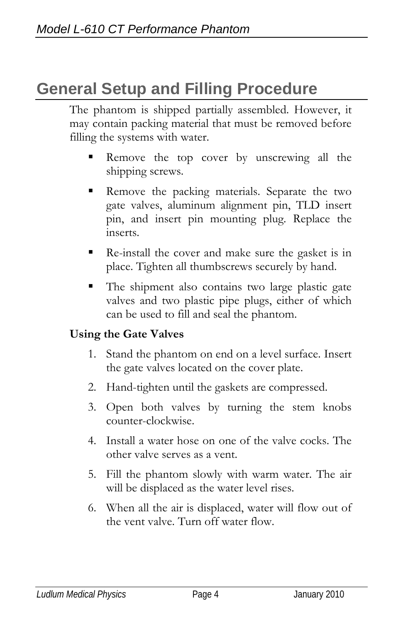# **General Setup and Filling Procedure**

The phantom is shipped partially assembled. However, it may contain packing material that must be removed before filling the systems with water.

- Remove the top cover by unscrewing all the shipping screws.
- Remove the packing materials. Separate the two gate valves, aluminum alignment pin, TLD insert pin, and insert pin mounting plug. Replace the inserts.
- Re-install the cover and make sure the gasket is in place. Tighten all thumbscrews securely by hand.
- The shipment also contains two large plastic gate valves and two plastic pipe plugs, either of which can be used to fill and seal the phantom.

#### **Using the Gate Valves**

- 1. Stand the phantom on end on a level surface. Insert the gate valves located on the cover plate.
- 2. Hand-tighten until the gaskets are compressed.
- 3. Open both valves by turning the stem knobs counter-clockwise.
- 4. Install a water hose on one of the valve cocks. The other valve serves as a vent.
- 5. Fill the phantom slowly with warm water. The air will be displaced as the water level rises.
- 6. When all the air is displaced, water will flow out of the vent valve. Turn off water flow.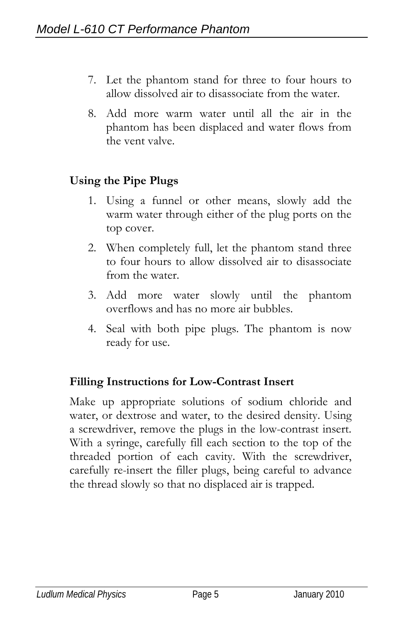- 7. Let the phantom stand for three to four hours to allow dissolved air to disassociate from the water.
- 8. Add more warm water until all the air in the phantom has been displaced and water flows from the vent valve.

#### **Using the Pipe Plugs**

- 1. Using a funnel or other means, slowly add the warm water through either of the plug ports on the top cover.
- 2. When completely full, let the phantom stand three to four hours to allow dissolved air to disassociate from the water.
- 3. Add more water slowly until the phantom overflows and has no more air bubbles.
- 4. Seal with both pipe plugs. The phantom is now ready for use.

#### **Filling Instructions for Low-Contrast Insert**

Make up appropriate solutions of sodium chloride and water, or dextrose and water, to the desired density. Using a screwdriver, remove the plugs in the low-contrast insert. With a syringe, carefully fill each section to the top of the threaded portion of each cavity. With the screwdriver, carefully re-insert the filler plugs, being careful to advance the thread slowly so that no displaced air is trapped.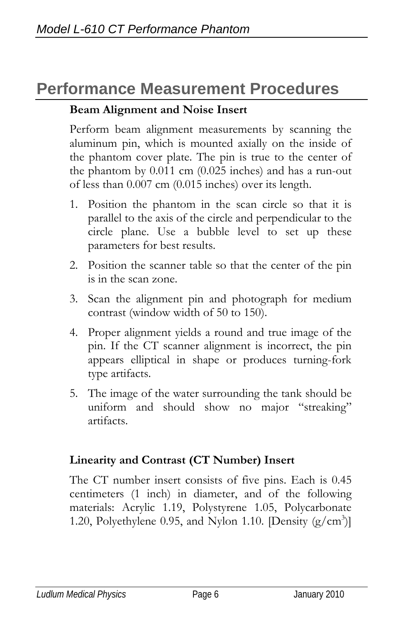## **Performance Measurement Procedures**

#### **Beam Alignment and Noise Insert**

Perform beam alignment measurements by scanning the aluminum pin, which is mounted axially on the inside of the phantom cover plate. The pin is true to the center of the phantom by 0.011 cm (0.025 inches) and has a run-out of less than 0.007 cm (0.015 inches) over its length.

- 1. Position the phantom in the scan circle so that it is parallel to the axis of the circle and perpendicular to the circle plane. Use a bubble level to set up these parameters for best results.
- 2. Position the scanner table so that the center of the pin is in the scan zone.
- 3. Scan the alignment pin and photograph for medium contrast (window width of 50 to 150).
- 4. Proper alignment yields a round and true image of the pin. If the CT scanner alignment is incorrect, the pin appears elliptical in shape or produces turning-fork type artifacts.
- 5. The image of the water surrounding the tank should be uniform and should show no major "streaking" artifacts.

#### **Linearity and Contrast (CT Number) Insert**

The CT number insert consists of five pins. Each is 0.45 centimeters (1 inch) in diameter, and of the following materials: Acrylic 1.19, Polystyrene 1.05, Polycarbonate 1.20, Polyethylene 0.95, and Nylon 1.10. [Density  $(g/cm<sup>3</sup>)$ ]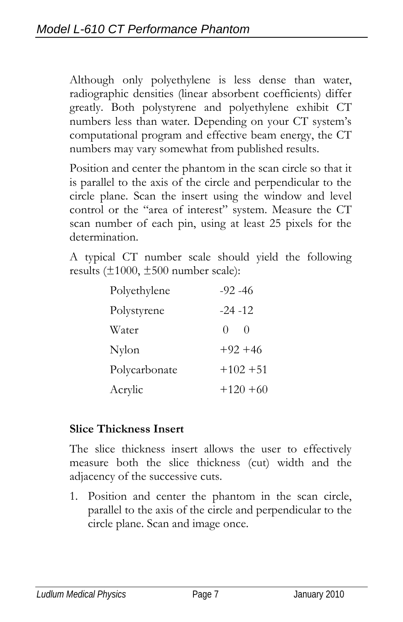Although only polyethylene is less dense than water, radiographic densities (linear absorbent coefficients) differ greatly. Both polystyrene and polyethylene exhibit CT numbers less than water. Depending on your CT system's computational program and effective beam energy, the CT numbers may vary somewhat from published results.

Position and center the phantom in the scan circle so that it is parallel to the axis of the circle and perpendicular to the circle plane. Scan the insert using the window and level control or the "area of interest" system. Measure the CT scan number of each pin, using at least 25 pixels for the determination.

A typical CT number scale should yield the following results  $(\pm 1000, \pm 500$  number scale):

| Polyethylene  | $-92 - 46$            |
|---------------|-----------------------|
| Polystyrene   | $-24 - 12$            |
| Water         | $\Omega$<br>$\bigcap$ |
| Nylon         | $+92+46$              |
| Polycarbonate | $+102 +51$            |
| Acrylic       | $+120 + 60$           |

#### **Slice Thickness Insert**

The slice thickness insert allows the user to effectively measure both the slice thickness (cut) width and the adjacency of the successive cuts.

1. Position and center the phantom in the scan circle, parallel to the axis of the circle and perpendicular to the circle plane. Scan and image once.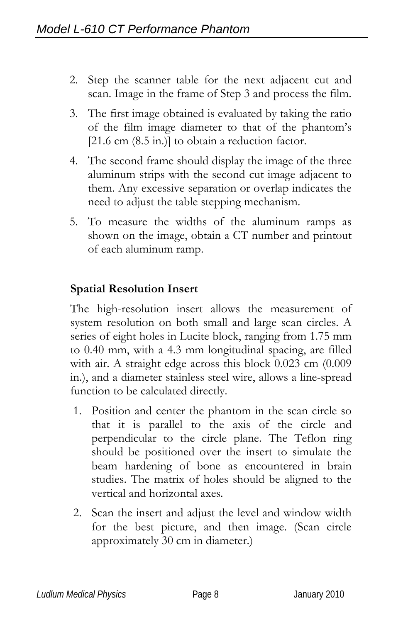- 2. Step the scanner table for the next adjacent cut and scan. Image in the frame of Step 3 and process the film.
- 3. The first image obtained is evaluated by taking the ratio of the film image diameter to that of the phantom's [21.6 cm (8.5 in.)] to obtain a reduction factor.
- 4. The second frame should display the image of the three aluminum strips with the second cut image adjacent to them. Any excessive separation or overlap indicates the need to adjust the table stepping mechanism.
- 5. To measure the widths of the aluminum ramps as shown on the image, obtain a CT number and printout of each aluminum ramp.

#### **Spatial Resolution Insert**

The high-resolution insert allows the measurement of system resolution on both small and large scan circles. A series of eight holes in Lucite block, ranging from 1.75 mm to 0.40 mm, with a 4.3 mm longitudinal spacing, are filled with air. A straight edge across this block 0.023 cm (0.009 in.), and a diameter stainless steel wire, allows a line-spread function to be calculated directly.

- 1. Position and center the phantom in the scan circle so that it is parallel to the axis of the circle and perpendicular to the circle plane. The Teflon ring should be positioned over the insert to simulate the beam hardening of bone as encountered in brain studies. The matrix of holes should be aligned to the vertical and horizontal axes.
- 2. Scan the insert and adjust the level and window width for the best picture, and then image. (Scan circle approximately 30 cm in diameter.)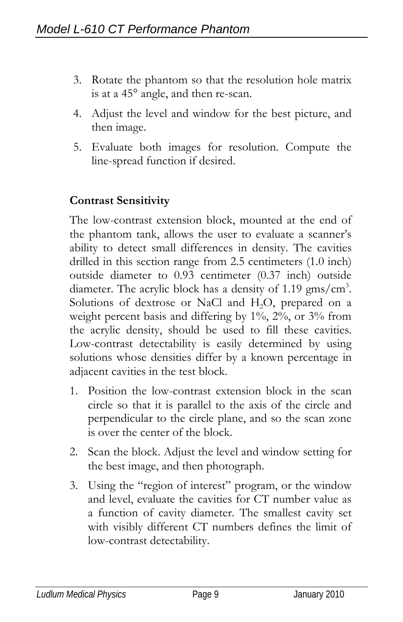- 3. Rotate the phantom so that the resolution hole matrix is at a 45° angle, and then re-scan.
- 4. Adjust the level and window for the best picture, and then image.
- 5. Evaluate both images for resolution. Compute the line-spread function if desired.

#### **Contrast Sensitivity**

The low-contrast extension block, mounted at the end of the phantom tank, allows the user to evaluate a scanner's ability to detect small differences in density. The cavities drilled in this section range from 2.5 centimeters (1.0 inch) outside diameter to 0.93 centimeter (0.37 inch) outside diameter. The acrylic block has a density of 1.19  $gms/cm^3$ . Solutions of dextrose or NaCl and H<sub>2</sub>O, prepared on a weight percent basis and differing by 1%, 2%, or 3% from the acrylic density, should be used to fill these cavities. Low-contrast detectability is easily determined by using solutions whose densities differ by a known percentage in adjacent cavities in the test block.

- 1. Position the low-contrast extension block in the scan circle so that it is parallel to the axis of the circle and perpendicular to the circle plane, and so the scan zone is over the center of the block.
- 2. Scan the block. Adjust the level and window setting for the best image, and then photograph.
- 3. Using the "region of interest" program, or the window and level, evaluate the cavities for CT number value as a function of cavity diameter. The smallest cavity set with visibly different CT numbers defines the limit of low-contrast detectability.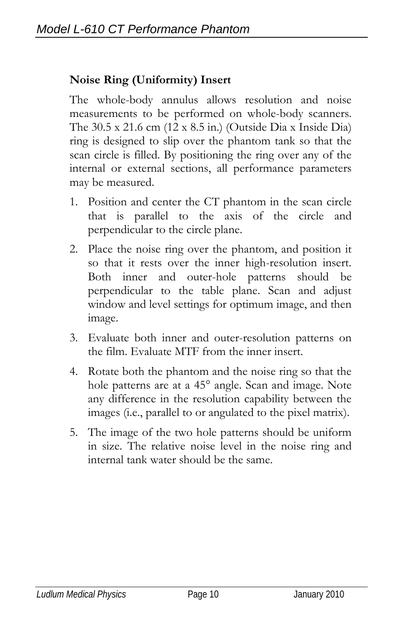### **Noise Ring (Uniformity) Insert**

The whole-body annulus allows resolution and noise measurements to be performed on whole-body scanners. The 30.5 x 21.6 cm (12 x 8.5 in.) (Outside Dia x Inside Dia) ring is designed to slip over the phantom tank so that the scan circle is filled. By positioning the ring over any of the internal or external sections, all performance parameters may be measured.

- 1. Position and center the CT phantom in the scan circle that is parallel to the axis of the circle and perpendicular to the circle plane.
- 2. Place the noise ring over the phantom, and position it so that it rests over the inner high-resolution insert. Both inner and outer-hole patterns should be perpendicular to the table plane. Scan and adjust window and level settings for optimum image, and then image.
- 3. Evaluate both inner and outer-resolution patterns on the film. Evaluate MTF from the inner insert.
- 4. Rotate both the phantom and the noise ring so that the hole patterns are at a 45° angle. Scan and image. Note any difference in the resolution capability between the images (i.e., parallel to or angulated to the pixel matrix).
- 5. The image of the two hole patterns should be uniform in size. The relative noise level in the noise ring and internal tank water should be the same.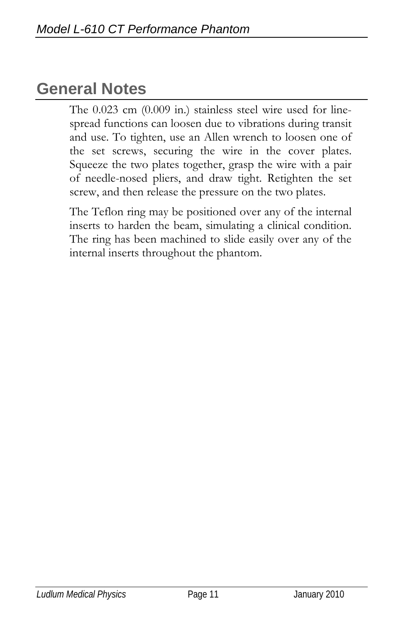## **General Notes**

The 0.023 cm (0.009 in.) stainless steel wire used for linespread functions can loosen due to vibrations during transit and use. To tighten, use an Allen wrench to loosen one of the set screws, securing the wire in the cover plates. Squeeze the two plates together, grasp the wire with a pair of needle-nosed pliers, and draw tight. Retighten the set screw, and then release the pressure on the two plates.

The Teflon ring may be positioned over any of the internal inserts to harden the beam, simulating a clinical condition. The ring has been machined to slide easily over any of the internal inserts throughout the phantom.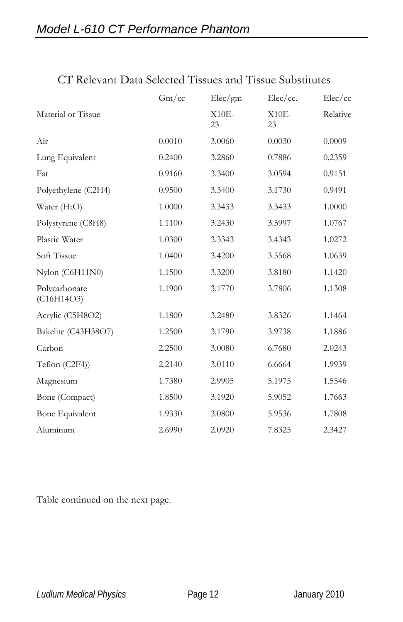|                             | Gm/cc  | Elec/gm       | Elec/cc.      | Elec/cc  |
|-----------------------------|--------|---------------|---------------|----------|
| Material or Tissue          |        | $X10E-$<br>23 | $X10E-$<br>23 | Relative |
| Air                         | 0.0010 | 3.0060        | 0.0030        | 0.0009   |
| Lung Equivalent             | 0.2400 | 3.2860        | 0.7886        | 0.2359   |
| Fat                         | 0.9160 | 3.3400        | 3.0594        | 0.9151   |
| Polyethylene (C2H4)         | 0.9500 | 3.3400        | 3.1730        | 0.9491   |
| Water $(H_2O)$              | 1.0000 | 3.3433        | 3.3433        | 1.0000   |
| Polystyrene (C8H8)          | 1.1100 | 3.2430        | 3.5997        | 1.0767   |
| Plastic Water               | 1.0300 | 3.3343        | 3.4343        | 1.0272   |
| Soft Tissue                 | 1.0400 | 3.4200        | 3.5568        | 1.0639   |
| Nylon (C6H11N0)             | 1.1500 | 3.3200        | 3.8180        | 1.1420   |
| Polycarbonate<br>(C16H14O3) | 1.1900 | 3.1770        | 3.7806        | 1.1308   |
| Acrylic (C5H8O2)            | 1.1800 | 3.2480        | 3.8326        | 1.1464   |
| Bakelite (C43H38O7)         | 1.2500 | 3.1790        | 3.9738        | 1.1886   |
| Carbon                      | 2.2500 | 3.0080        | 6.7680        | 2.0243   |
| Teflon (C2F4))              | 2.2140 | 3.0110        | 6.6664        | 1.9939   |
| Magnesium                   | 1.7380 | 2.9905        | 5.1975        | 1.5546   |
| Bone (Compact)              | 1.8500 | 3.1920        | 5.9052        | 1.7663   |
| Bone Equivalent             | 1.9330 | 3.0800        | 5.9536        | 1.7808   |
| Aluminum                    | 2.6990 | 2.0920        | 7.8325        | 2.3427   |

#### CT Relevant Data Selected Tissues and Tissue Substitutes

Table continued on the next page.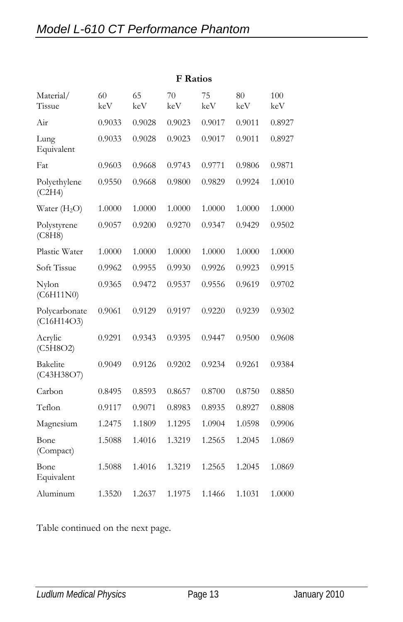|                             | <b>F</b> Ratios |           |           |           |           |            |
|-----------------------------|-----------------|-----------|-----------|-----------|-----------|------------|
| Material/<br>Tissue         | 60<br>keV       | 65<br>keV | 70<br>keV | 75<br>keV | 80<br>keV | 100<br>keV |
| Air                         | 0.9033          | 0.9028    | 0.9023    | 0.9017    | 0.9011    | 0.8927     |
| Lung<br>Equivalent          | 0.9033          | 0.9028    | 0.9023    | 0.9017    | 0.9011    | 0.8927     |
| Fat                         | 0.9603          | 0.9668    | 0.9743    | 0.9771    | 0.9806    | 0.9871     |
| Polyethylene<br>(C2H4)      | 0.9550          | 0.9668    | 0.9800    | 0.9829    | 0.9924    | 1.0010     |
| Water $(H2O)$               | 1.0000          | 1.0000    | 1.0000    | 1.0000    | 1.0000    | 1.0000     |
| Polystyrene<br>(C8H8)       | 0.9057          | 0.9200    | 0.9270    | 0.9347    | 0.9429    | 0.9502     |
| Plastic Water               | 1.0000          | 1.0000    | 1.0000    | 1.0000    | 1.0000    | 1.0000     |
| Soft Tissue                 | 0.9962          | 0.9955    | 0.9930    | 0.9926    | 0.9923    | 0.9915     |
| Nylon<br>(C6H11N0)          | 0.9365          | 0.9472    | 0.9537    | 0.9556    | 0.9619    | 0.9702     |
| Polycarbonate<br>(C16H14O3) | 0.9061          | 0.9129    | 0.9197    | 0.9220    | 0.9239    | 0.9302     |
| Acrylic<br>(C5H8O2)         | 0.9291          | 0.9343    | 0.9395    | 0.9447    | 0.9500    | 0.9608     |
| Bakelite<br>(C43H38O7)      | 0.9049          | 0.9126    | 0.9202    | 0.9234    | 0.9261    | 0.9384     |
| Carbon                      | 0.8495          | 0.8593    | 0.8657    | 0.8700    | 0.8750    | 0.8850     |
| Teflon                      | 0.9117          | 0.9071    | 0.8983    | 0.8935    | 0.8927    | 0.8808     |
| Magnesium                   | 1.2475          | 1.1809    | 1.1295    | 1.0904    | 1.0598    | 0.9906     |
| Bone<br>(Compact)           | 1.5088          | 1.4016    | 1.3219    | 1.2565    | 1.2045    | 1.0869     |
| Bone<br>Equivalent          | 1.5088          | 1.4016    | 1.3219    | 1.2565    | 1.2045    | 1.0869     |
| Aluminum                    | 1.3520          | 1.2637    | 1.1975    | 1.1466    | 1.1031    | 1.0000     |

Table continued on the next page.